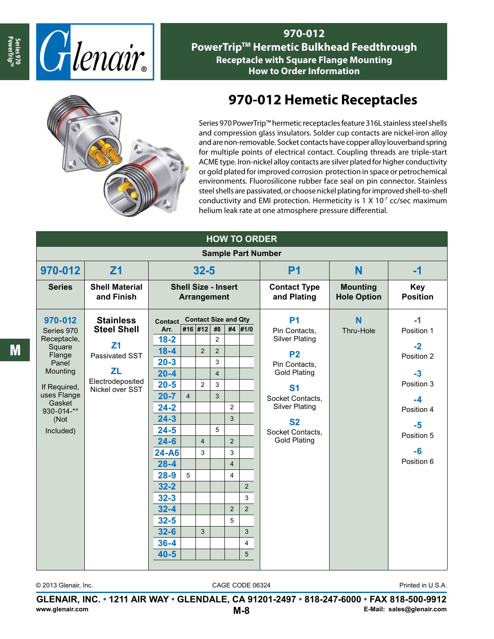

**970-012 PowerTrip<sup>™</sup> Hermetic Bulkhead Feedthrough Receptacle with Square Flange Mounting How to Order Information**



## **970-012 Hemetic Receptacles**

Series 970 PowerTrip™ hermetic receptacles feature 316L stainless steel shells and compression glass insulators. Solder cup contacts are nickel-iron alloy and are non-removable. Socket contacts have copper alloy louverband spring for multiple points of electrical contact. Coupling threads are triple-start ACME type. Iron-nickel alloy contacts are silver plated for higher conductivity or gold plated for improved corrosion protection in space or petrochemical environments. Fluorosilicone rubber face seal on pin connector. Stainless steel shells are passivated, or choose nickel plating for improved shell-to-shell conductivity and EMI protection. Hermeticity is 1 X  $10<sup>-7</sup>$  cc/sec maximum helium leak rate at one atmosphere pressure differential.

| <b>HOW TO ORDER</b>       |                                     |                                           |                |                |                |                |                         |                                    |                                       |                               |
|---------------------------|-------------------------------------|-------------------------------------------|----------------|----------------|----------------|----------------|-------------------------|------------------------------------|---------------------------------------|-------------------------------|
| <b>Sample Part Number</b> |                                     |                                           |                |                |                |                |                         |                                    |                                       |                               |
| 970-012                   | Z <sub>1</sub>                      | $32 - 5$                                  |                |                |                |                |                         | <b>P1</b>                          | N                                     | -1                            |
| <b>Series</b>             | <b>Shell Material</b><br>and Finish | <b>Shell Size - Insert</b><br>Arrangement |                |                |                |                |                         | <b>Contact Type</b><br>and Plating | <b>Mounting</b><br><b>Hole Option</b> | <b>Key</b><br><b>Position</b> |
| 970-012                   | <b>Stainless</b>                    | <b>Contact Size and Qty</b><br>Contact    |                |                |                | <b>P1</b>      | N                       | $-1$                               |                                       |                               |
| Series 970                | <b>Steel Shell</b>                  | Arr.                                      |                | #16 #12        | #8             |                | #4 #1/0                 | Pin Contacts.                      | Thru-Hole                             | Position 1                    |
| Receptacle,<br>Square     | Z <sub>1</sub>                      | $18 - 2$                                  |                |                | $\overline{2}$ |                |                         | <b>Silver Plating</b>              |                                       | $-2$                          |
| Flange                    | Passivated SST                      | $18 - 4$                                  |                | 2              | $\overline{2}$ |                |                         | P <sub>2</sub>                     |                                       | Position 2                    |
| Panel                     | <b>ZL</b>                           | $20 - 3$                                  |                |                | 3              |                |                         | Pin Contacts.                      |                                       |                               |
| Mounting                  | Electrodeposited                    | $20 - 4$                                  |                |                | $\overline{4}$ |                |                         | <b>Gold Plating</b>                |                                       | $-3$                          |
| If Required,              | Nickel over SST                     | $20 - 5$                                  |                | 2              | 3              |                |                         | <b>S1</b>                          |                                       | Position 3                    |
| uses Flange<br>Gasket     |                                     | $20 - 7$                                  | $\overline{4}$ |                | 3              |                |                         | Socket Contacts,                   |                                       | $-4$                          |
| 930-014-**                |                                     | $24 - 2$                                  |                |                |                | $\overline{2}$ |                         | <b>Silver Plating</b>              |                                       | Position 4                    |
| (Not                      |                                     | $24 - 3$                                  |                |                |                | 3              |                         | <b>S2</b>                          |                                       | $-5$                          |
| Included)                 |                                     | $24 - 5$                                  |                |                | 5              |                |                         | Socket Contacts,                   |                                       | Position 5                    |
|                           |                                     | $24 - 6$                                  |                | $\overline{4}$ |                | $\overline{2}$ |                         | <b>Gold Plating</b>                |                                       |                               |
|                           |                                     | $24 - A6$                                 |                | 3              |                | 3              |                         |                                    |                                       | $-6$                          |
|                           |                                     | $28 - 4$                                  |                |                |                | $\overline{4}$ |                         |                                    |                                       | Position 6                    |
|                           |                                     | $28 - 9$                                  | 5              |                |                | $\overline{4}$ |                         |                                    |                                       |                               |
|                           |                                     | $32 - 2$                                  |                |                |                |                | 2                       |                                    |                                       |                               |
|                           |                                     | $32 - 3$                                  |                |                |                |                | 3                       |                                    |                                       |                               |
|                           |                                     | $32 - 4$                                  |                |                |                | $\overline{2}$ | $\overline{2}$          |                                    |                                       |                               |
|                           |                                     | $32 - 5$                                  |                |                |                | 5              |                         |                                    |                                       |                               |
|                           |                                     | $32 - 6$                                  |                | 3              |                |                | 3                       |                                    |                                       |                               |
|                           |                                     | $36 - 4$                                  |                |                |                |                | $\overline{\mathbf{4}}$ |                                    |                                       |                               |
|                           |                                     | $40 - 5$                                  |                |                |                |                | 5                       |                                    |                                       |                               |
|                           |                                     |                                           |                |                |                |                |                         |                                    |                                       |                               |

© 2013 Glenair, Inc. CAGE CODE 06324

**GLENAIR, INC. • 1211 AIR WAY • GLENDALE, CA 91201-2497 • 818-247-6000 • FAX 818-500-9912 www.glenair.com M-8 E-Mail: sales@glenair.com**